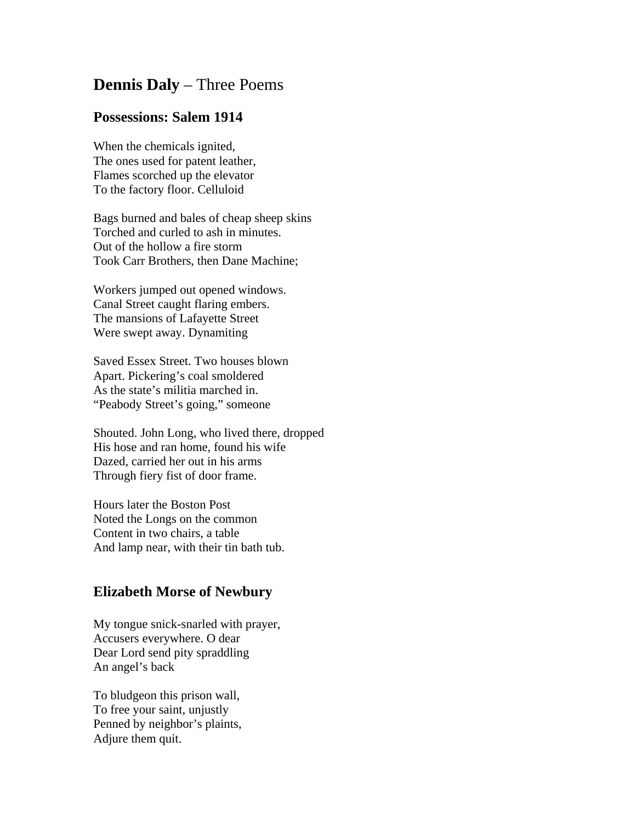## **Dennis Daly** – Three Poems

## **Possessions: Salem 1914**

When the chemicals ignited, The ones used for patent leather, Flames scorched up the elevator To the factory floor. Celluloid

Bags burned and bales of cheap sheep skins Torched and curled to ash in minutes. Out of the hollow a fire storm Took Carr Brothers, then Dane Machine;

Workers jumped out opened windows. Canal Street caught flaring embers. The mansions of Lafayette Street Were swept away. Dynamiting

Saved Essex Street. Two houses blown Apart. Pickering's coal smoldered As the state's militia marched in. "Peabody Street's going," someone

Shouted. John Long, who lived there, dropped His hose and ran home, found his wife Dazed, carried her out in his arms Through fiery fist of door frame.

Hours later the Boston Post Noted the Longs on the common Content in two chairs, a table And lamp near, with their tin bath tub.

## **Elizabeth Morse of Newbury**

My tongue snick-snarled with prayer, Accusers everywhere. O dear Dear Lord send pity spraddling An angel's back

To bludgeon this prison wall, To free your saint, unjustly Penned by neighbor's plaints, Adjure them quit.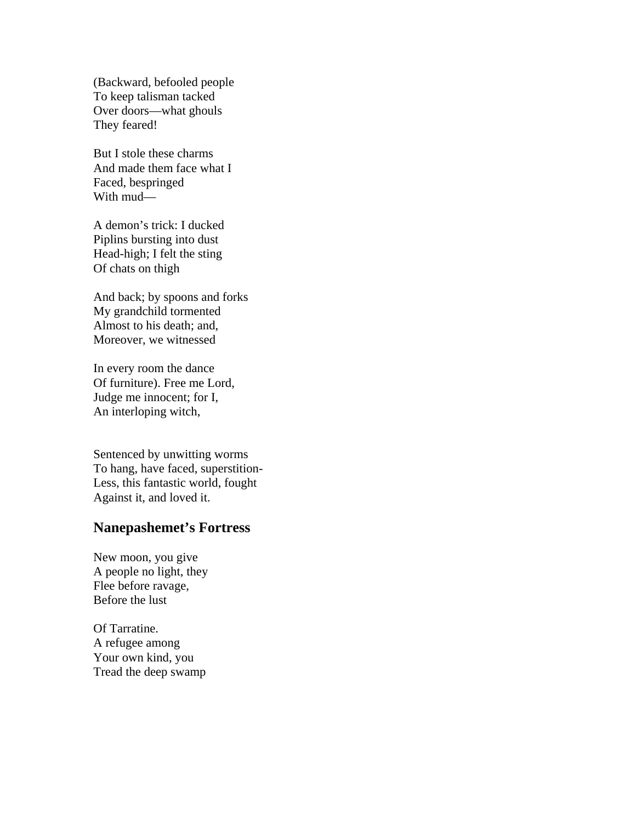(Backward, befooled people To keep talisman tacked Over doors—what ghouls They feared!

But I stole these charms And made them face what I Faced, bespringed With mud—

A demon's trick: I ducked Piplins bursting into dust Head-high; I felt the sting Of chats on thigh

And back; by spoons and forks My grandchild tormented Almost to his death; and, Moreover, we witnessed

In every room the dance Of furniture). Free me Lord, Judge me innocent; for I, An interloping witch,

Sentenced by unwitting worms To hang, have faced, superstition-Less, this fantastic world, fought Against it, and loved it.

## **Nanepashemet's Fortress**

New moon, you give A people no light, they Flee before ravage, Before the lust

Of Tarratine. A refugee among Your own kind, you Tread the deep swamp